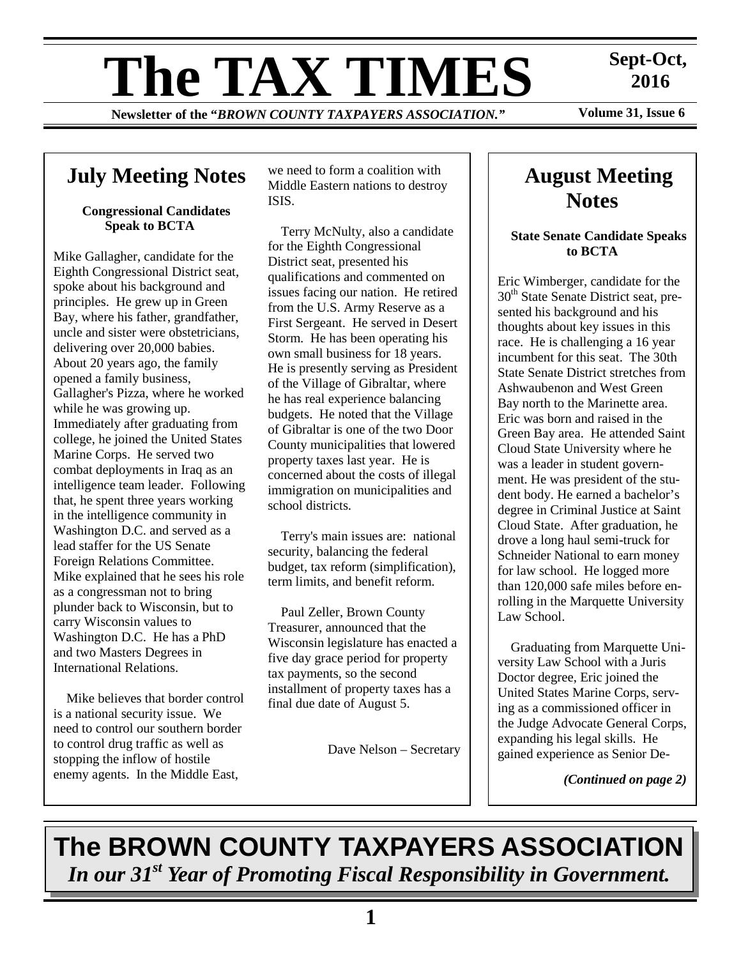# **The TAX TIMES** Sept-Oct,<br>
Newsletter of the "BROWN COUNTY TAXPAYERS ASSOCIATION." Volume 31, Issue 6

**Newsletter of the "BROWN COUNTY TAXPAYERS ASSOCIATION."** 

 **2016** 

## **July Meeting Notes**

#### **Congressional Candidates Speak to BCTA**

Mike Gallagher, candidate for the Eighth Congressional District seat, spoke about his background and principles. He grew up in Green Bay, where his father, grandfather, uncle and sister were obstetricians, delivering over 20,000 babies. About 20 years ago, the family opened a family business, Gallagher's Pizza, where he worked while he was growing up. Immediately after graduating from college, he joined the United States Marine Corps. He served two combat deployments in Iraq as an intelligence team leader. Following that, he spent three years working in the intelligence community in Washington D.C. and served as a lead staffer for the US Senate Foreign Relations Committee. Mike explained that he sees his role as a congressman not to bring plunder back to Wisconsin, but to carry Wisconsin values to Washington D.C. He has a PhD and two Masters Degrees in International Relations.

Mike believes that border control is a national security issue. We need to control our southern border to control drug traffic as well as stopping the inflow of hostile enemy agents. In the Middle East,

we need to form a coalition with Middle Eastern nations to destroy ISIS.

Terry McNulty, also a candidate for the Eighth Congressional District seat, presented his qualifications and commented on issues facing our nation. He retired from the U.S. Army Reserve as a First Sergeant. He served in Desert Storm. He has been operating his own small business for 18 years. He is presently serving as President of the Village of Gibraltar, where he has real experience balancing budgets. He noted that the Village of Gibraltar is one of the two Door County municipalities that lowered property taxes last year. He is concerned about the costs of illegal immigration on municipalities and school districts.

Terry's main issues are: national security, balancing the federal budget, tax reform (simplification), term limits, and benefit reform.

Paul Zeller, Brown County Treasurer, announced that the Wisconsin legislature has enacted a five day grace period for property tax payments, so the second installment of property taxes has a final due date of August 5.

Dave Nelson – Secretary

## **August Meeting Notes**

#### **State Senate Candidate Speaks to BCTA**

Eric Wimberger, candidate for the 30<sup>th</sup> State Senate District seat, presented his background and his thoughts about key issues in this race. He is challenging a 16 year incumbent for this seat. The 30th State Senate District stretches from Ashwaubenon and West Green Bay north to the Marinette area. Eric was born and raised in the Green Bay area. He attended Saint Cloud State University where he was a leader in student government. He was president of the student body. He earned a bachelor's degree in Criminal Justice at Saint Cloud State. After graduation, he drove a long haul semi-truck for Schneider National to earn money for law school. He logged more than 120,000 safe miles before enrolling in the Marquette University Law School.

Graduating from Marquette University Law School with a Juris Doctor degree, Eric joined the United States Marine Corps, serving as a commissioned officer in the Judge Advocate General Corps, expanding his legal skills. He gained experience as Senior De-

*(Continued on page 2)* 

**The BROWN COUNTY TAXPAYERS ASSOCIATION**  *In our 31st Year of Promoting Fiscal Responsibility in Government.*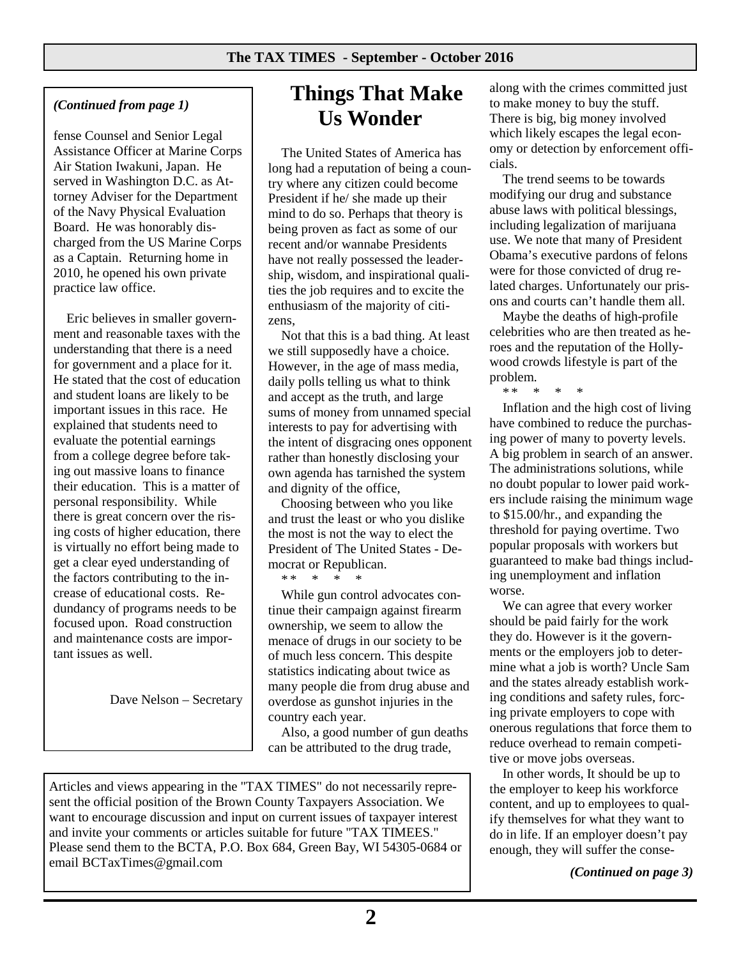## *(Continued from page 1)*

fense Counsel and Senior Legal Assistance Officer at Marine Corps Air Station Iwakuni, Japan. He served in Washington D.C. as Attorney Adviser for the Department of the Navy Physical Evaluation Board. He was honorably discharged from the US Marine Corps as a Captain. Returning home in 2010, he opened his own private practice law office.

Eric believes in smaller government and reasonable taxes with the understanding that there is a need for government and a place for it. He stated that the cost of education and student loans are likely to be important issues in this race. He explained that students need to evaluate the potential earnings from a college degree before taking out massive loans to finance their education. This is a matter of personal responsibility. While there is great concern over the rising costs of higher education, there is virtually no effort being made to get a clear eyed understanding of the factors contributing to the increase of educational costs. Redundancy of programs needs to be focused upon. Road construction and maintenance costs are important issues as well.

Dave Nelson – Secretary

## **Things That Make Us Wonder**

The United States of America has long had a reputation of being a country where any citizen could become President if he/ she made up their mind to do so. Perhaps that theory is being proven as fact as some of our recent and/or wannabe Presidents have not really possessed the leadership, wisdom, and inspirational qualities the job requires and to excite the enthusiasm of the majority of citizens,

Not that this is a bad thing. At least we still supposedly have a choice. However, in the age of mass media, daily polls telling us what to think and accept as the truth, and large sums of money from unnamed special interests to pay for advertising with the intent of disgracing ones opponent rather than honestly disclosing your own agenda has tarnished the system and dignity of the office,

Choosing between who you like and trust the least or who you dislike the most is not the way to elect the President of The United States - Democrat or Republican.

\* \* \* \* \*

While gun control advocates continue their campaign against firearm ownership, we seem to allow the menace of drugs in our society to be of much less concern. This despite statistics indicating about twice as many people die from drug abuse and overdose as gunshot injuries in the country each year.

Also, a good number of gun deaths can be attributed to the drug trade,

Articles and views appearing in the "TAX TIMES" do not necessarily represent the official position of the Brown County Taxpayers Association. We want to encourage discussion and input on current issues of taxpayer interest and invite your comments or articles suitable for future "TAX TIMEES." Please send them to the BCTA, P.O. Box 684, Green Bay, WI 54305-0684 or email BCTaxTimes@gmail.com

along with the crimes committed just to make money to buy the stuff. There is big, big money involved which likely escapes the legal economy or detection by enforcement officials.

The trend seems to be towards modifying our drug and substance abuse laws with political blessings, including legalization of marijuana use. We note that many of President Obama's executive pardons of felons were for those convicted of drug related charges. Unfortunately our prisons and courts can't handle them all.

Maybe the deaths of high-profile celebrities who are then treated as heroes and the reputation of the Hollywood crowds lifestyle is part of the problem.

 $* *$ 

Inflation and the high cost of living have combined to reduce the purchasing power of many to poverty levels. A big problem in search of an answer. The administrations solutions, while no doubt popular to lower paid workers include raising the minimum wage to \$15.00/hr., and expanding the threshold for paying overtime. Two popular proposals with workers but guaranteed to make bad things including unemployment and inflation worse.

We can agree that every worker should be paid fairly for the work they do. However is it the governments or the employers job to determine what a job is worth? Uncle Sam and the states already establish working conditions and safety rules, forcing private employers to cope with onerous regulations that force them to reduce overhead to remain competitive or move jobs overseas.

In other words, It should be up to the employer to keep his workforce content, and up to employees to qualify themselves for what they want to do in life. If an employer doesn't pay enough, they will suffer the conse-

*(Continued on page 3)*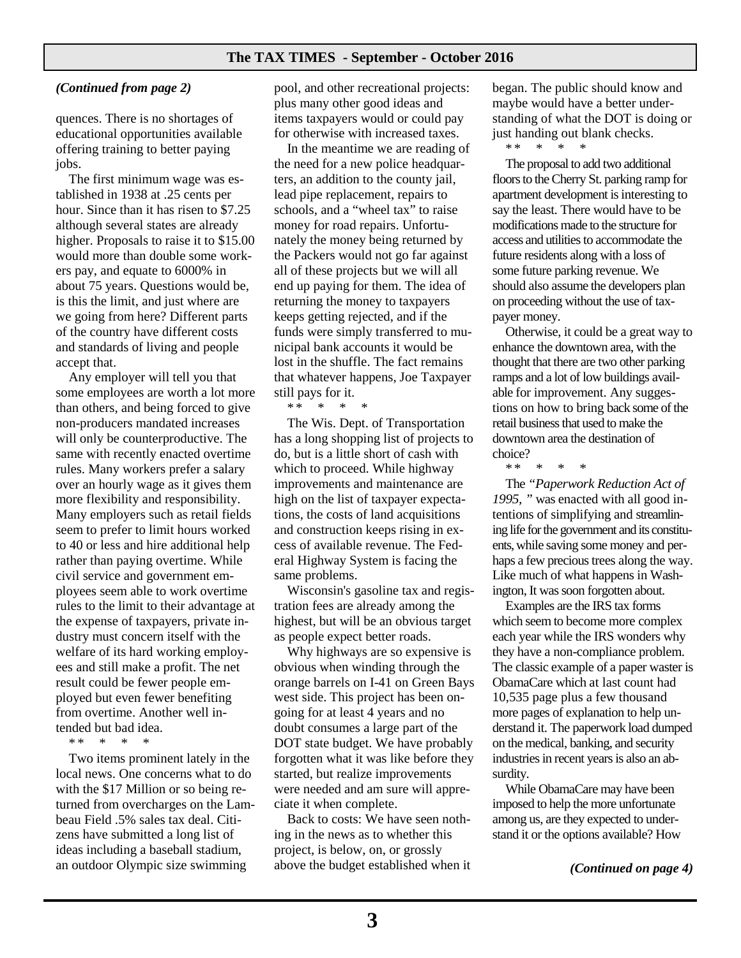#### **The TAX TIMES - September - October 2016**

#### *(Continued from page 2)*

quences. There is no shortages of educational opportunities available offering training to better paying jobs.

The first minimum wage was established in 1938 at .25 cents per hour. Since than it has risen to \$7.25 although several states are already higher. Proposals to raise it to \$15.00 would more than double some workers pay, and equate to 6000% in about 75 years. Questions would be, is this the limit, and just where are we going from here? Different parts of the country have different costs and standards of living and people accept that.

Any employer will tell you that some employees are worth a lot more than others, and being forced to give non-producers mandated increases will only be counterproductive. The same with recently enacted overtime rules. Many workers prefer a salary over an hourly wage as it gives them more flexibility and responsibility. Many employers such as retail fields seem to prefer to limit hours worked to 40 or less and hire additional help rather than paying overtime. While civil service and government employees seem able to work overtime rules to the limit to their advantage at the expense of taxpayers, private industry must concern itself with the welfare of its hard working employees and still make a profit. The net result could be fewer people employed but even fewer benefiting from overtime. Another well intended but bad idea.

\* \* \* \* \*

Two items prominent lately in the local news. One concerns what to do with the \$17 Million or so being returned from overcharges on the Lambeau Field .5% sales tax deal. Citizens have submitted a long list of ideas including a baseball stadium, an outdoor Olympic size swimming

pool, and other recreational projects: plus many other good ideas and items taxpayers would or could pay for otherwise with increased taxes.

In the meantime we are reading of the need for a new police headquarters, an addition to the county jail, lead pipe replacement, repairs to schools, and a "wheel tax" to raise money for road repairs. Unfortunately the money being returned by the Packers would not go far against all of these projects but we will all end up paying for them. The idea of returning the money to taxpayers keeps getting rejected, and if the funds were simply transferred to municipal bank accounts it would be lost in the shuffle. The fact remains that whatever happens, Joe Taxpayer still pays for it.

\* \* \* \* \*

The Wis. Dept. of Transportation has a long shopping list of projects to do, but is a little short of cash with which to proceed. While highway improvements and maintenance are high on the list of taxpayer expectations, the costs of land acquisitions and construction keeps rising in excess of available revenue. The Federal Highway System is facing the same problems.

Wisconsin's gasoline tax and registration fees are already among the highest, but will be an obvious target as people expect better roads.

Why highways are so expensive is obvious when winding through the orange barrels on I-41 on Green Bays west side. This project has been ongoing for at least 4 years and no doubt consumes a large part of the DOT state budget. We have probably forgotten what it was like before they started, but realize improvements were needed and am sure will appreciate it when complete.

Back to costs: We have seen nothing in the news as to whether this project, is below, on, or grossly above the budget established when it

began. The public should know and maybe would have a better understanding of what the DOT is doing or just handing out blank checks.

\* \* \* \* \*

The proposal to add two additional floors to the Cherry St. parking ramp for apartment development is interesting to say the least. There would have to be modifications made to the structure for access and utilities to accommodate the future residents along with a loss of some future parking revenue. We should also assume the developers plan on proceeding without the use of taxpayer money.

Otherwise, it could be a great way to enhance the downtown area, with the thought that there are two other parking ramps and a lot of low buildings available for improvement. Any suggestions on how to bring back some of the retail business that used to make the downtown area the destination of choice?

\* \* \* \* \*

The *"Paperwork Reduction Act of 1995, "* was enacted with all good intentions of simplifying and streamlining life for the government and its constituents, while saving some money and perhaps a few precious trees along the way. Like much of what happens in Washington, It was soon forgotten about.

Examples are the IRS tax forms which seem to become more complex each year while the IRS wonders why they have a non-compliance problem. The classic example of a paper waster is ObamaCare which at last count had 10,535 page plus a few thousand more pages of explanation to help understand it. The paperwork load dumped on the medical, banking, and security industries in recent years is also an absurdity.

While ObamaCare may have been imposed to help the more unfortunate among us, are they expected to understand it or the options available? How

*(Continued on page 4)*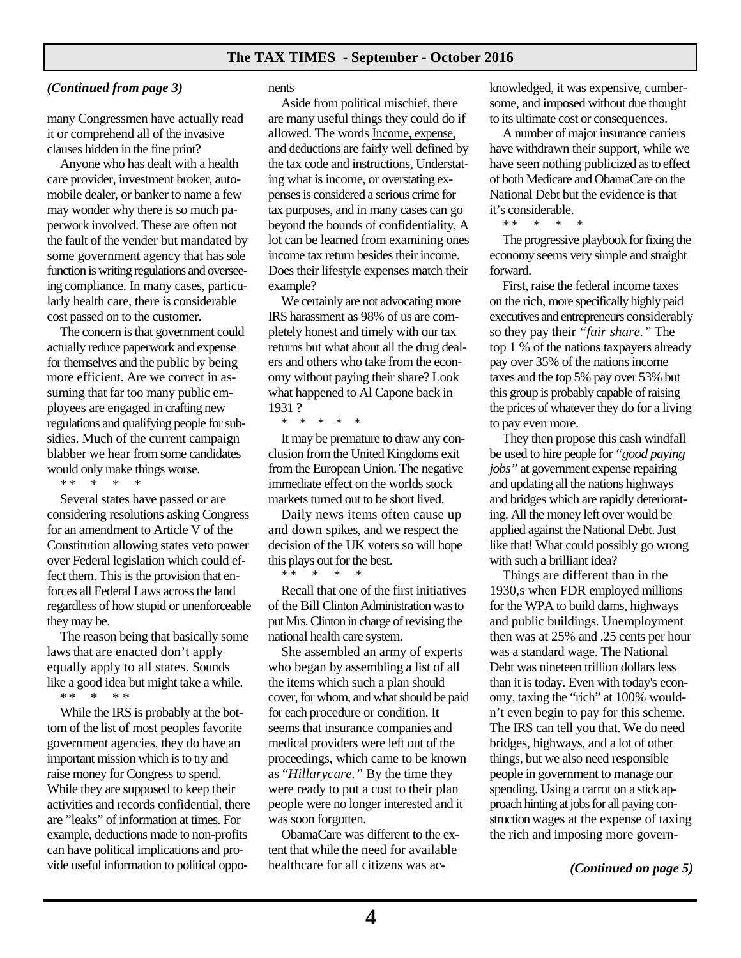#### *(Continued from page 3)*

many Congressmen have actually read it or comprehend all of the invasive clauses hidden in the fine print?

Anyone who has dealt with a health care provider, investment broker, automobile dealer, or banker to name a few may wonder why there is so much paperwork involved. These are often not the fault of the vender but mandated by some government agency that has sole function is writing regulations and overseeing compliance. In many cases, particularly health care, there is considerable cost passed on to the customer.

The concern is that government could actually reduce paperwork and expense for themselves and the public by being more efficient. Are we correct in assuming that far too many public employees are engaged in crafting new regulations and qualifying people for subsidies. Much of the current campaign blabber we hear from some candidates would only make things worse.

\* \* \* \* \*

Several states have passed or are considering resolutions asking Congress for an amendment to Article V of the Constitution allowing states veto power over Federal legislation which could effect them. This is the provision that enforces all Federal Laws across the land regardless of how stupid or unenforceable they may be.

The reason being that basically some laws that are enacted don't apply equally apply to all states. Sounds like a good idea but might take a while. \* \* \* \* \*

While the IRS is probably at the bottom of the list of most peoples favorite government agencies, they do have an important mission which is to try and raise money for Congress to spend. While they are supposed to keep their activities and records confidential, there are "leaks" of information at times. For example, deductions made to non-profits can have political implications and provide useful information to political opponents

Aside from political mischief, there are many useful things they could do if allowed. The words Income, expense, and deductions are fairly well defined by the tax code and instructions, Understating what is income, or overstating expenses is considered a serious crime for tax purposes, and in many cases can go beyond the bounds of confidentiality, A lot can be learned from examining ones income tax return besides their income. Does their lifestyle expenses match their example?

We certainly are not advocating more IRS harassment as 98% of us are completely honest and timely with our tax returns but what about all the drug dealers and others who take from the economy without paying their share? Look what happened to Al Capone back in 1931 ?

\* \* \* \* \*

It may be premature to draw any conclusion from the United Kingdoms exit from the European Union. The negative immediate effect on the worlds stock markets turned out to be short lived.

Daily news items often cause up and down spikes, and we respect the decision of the UK voters so will hope this plays out for the best. \* \* \* \* \*

Recall that one of the first initiatives of the Bill Clinton Administration was to put Mrs. Clinton in charge of revising the national health care system.

She assembled an army of experts who began by assembling a list of all the items which such a plan should cover, for whom, and what should be paid for each procedure or condition. It seems that insurance companies and medical providers were left out of the proceedings, which came to be known as "*Hillarycare."* By the time they were ready to put a cost to their plan people were no longer interested and it was soon forgotten.

ObamaCare was different to the extent that while the need for available healthcare for all citizens was acknowledged, it was expensive, cumbersome, and imposed without due thought to its ultimate cost or consequences.

A number of major insurance carriers have withdrawn their support, while we have seen nothing publicized as to effect of both Medicare and ObamaCare on the National Debt but the evidence is that it's considerable.

\* \* \* \* \*

The progressive playbook for fixing the economy seems very simple and straight forward.

First, raise the federal income taxes on the rich, more specifically highly paid executives and entrepreneurs considerably so they pay their *"fair share."* The top 1 % of the nations taxpayers already pay over 35% of the nations income taxes and the top 5% pay over 53% but this group is probably capable of raising the prices of whatever they do for a living to pay even more.

They then propose this cash windfall be used to hire people for *"good paying jobs"* at government expense repairing and updating all the nations highways and bridges which are rapidly deteriorating. All the money left over would be applied against the National Debt. Just like that! What could possibly go wrong with such a brilliant idea?

Things are different than in the 1930,s when FDR employed millions for the WPA to build dams, highways and public buildings. Unemployment then was at 25% and .25 cents per hour was a standard wage. The National Debt was nineteen trillion dollars less than it is today. Even with today's economy, taxing the "rich" at 100% wouldn't even begin to pay for this scheme. The IRS can tell you that. We do need bridges, highways, and a lot of other things, but we also need responsible people in government to manage our spending. Using a carrot on a stick approach hinting at jobs for all paying construction wages at the expense of taxing the rich and imposing more govern-

*(Continued on page 5)*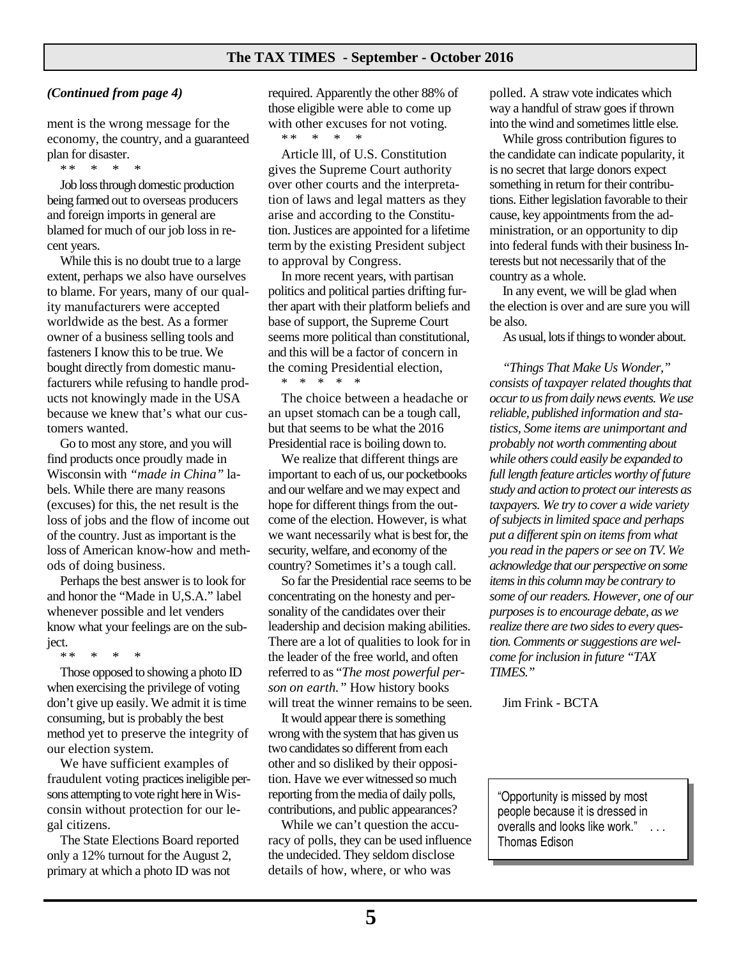#### *(Continued from page 4)*

ment is the wrong message for the economy, the country, and a guaranteed plan for disaster.<br>\*\*

\* \* \* \* \*

Job loss through domestic production being farmed out to overseas producers and foreign imports in general are blamed for much of our job loss in recent years.

While this is no doubt true to a large extent, perhaps we also have ourselves to blame. For years, many of our quality manufacturers were accepted worldwide as the best. As a former owner of a business selling tools and fasteners I know this to be true. We bought directly from domestic manufacturers while refusing to handle products not knowingly made in the USA because we knew that's what our customers wanted.

Go to most any store, and you will find products once proudly made in Wisconsin with *"made in China"* labels. While there are many reasons (excuses) for this, the net result is the loss of jobs and the flow of income out of the country. Just as important is the loss of American know-how and methods of doing business.

Perhaps the best answer is to look for and honor the "Made in U,S.A." label whenever possible and let venders know what your feelings are on the subject.

\* \* \* \* \*

Those opposed to showing a photo ID when exercising the privilege of voting don't give up easily. We admit it is time consuming, but is probably the best method yet to preserve the integrity of our election system.

We have sufficient examples of fraudulent voting practices ineligible persons attempting to vote right here in Wisconsin without protection for our legal citizens.

The State Elections Board reported only a 12% turnout for the August 2, primary at which a photo ID was not

required. Apparently the other 88% of those eligible were able to come up with other excuses for not voting. \* \* \* \* \*

Article lll, of U.S. Constitution gives the Supreme Court authority over other courts and the interpretation of laws and legal matters as they arise and according to the Constitution. Justices are appointed for a lifetime term by the existing President subject to approval by Congress.

In more recent years, with partisan politics and political parties drifting further apart with their platform beliefs and base of support, the Supreme Court seems more political than constitutional, and this will be a factor of concern in the coming Presidential election, \* \* \* \* \*

The choice between a headache or an upset stomach can be a tough call, but that seems to be what the 2016 Presidential race is boiling down to.

We realize that different things are important to each of us, our pocketbooks and our welfare and we may expect and hope for different things from the outcome of the election. However, is what we want necessarily what is best for, the security, welfare, and economy of the country? Sometimes it's a tough call.

So far the Presidential race seems to be concentrating on the honesty and personality of the candidates over their leadership and decision making abilities. There are a lot of qualities to look for in the leader of the free world, and often referred to as "*The most powerful person on earth."* How history books will treat the winner remains to be seen.

It would appear there is something wrong with the system that has given us two candidates so different from each other and so disliked by their opposition. Have we ever witnessed so much reporting from the media of daily polls, contributions, and public appearances?

While we can't question the accuracy of polls, they can be used influence the undecided. They seldom disclose details of how, where, or who was

polled. A straw vote indicates which way a handful of straw goes if thrown into the wind and sometimes little else.

While gross contribution figures to the candidate can indicate popularity, it is no secret that large donors expect something in return for their contributions. Either legislation favorable to their cause, key appointments from the administration, or an opportunity to dip into federal funds with their business Interests but not necessarily that of the country as a whole.

In any event, we will be glad when the election is over and are sure you will be also.

As usual, lots if things to wonder about.

*"Things That Make Us Wonder," consists of taxpayer related thoughts that occur to us from daily news events. We use reliable, published information and statistics, Some items are unimportant and probably not worth commenting about while others could easily be expanded to full length feature articles worthy of future study and action to protect our interests as taxpayers. We try to cover a wide variety of subjects in limited space and perhaps put a different spin on items from what you read in the papers or see on TV. We acknowledge that our perspective on some items in this column may be contrary to some of our readers. However, one of our purposes is to encourage debate, as we realize there are two sides to every question. Comments or suggestions are welcome for inclusion in future "TAX TIMES."* 

Jim Frink - BCTA

"Opportunity is missed by most people because it is dressed in overalls and looks like work." Thomas Edison